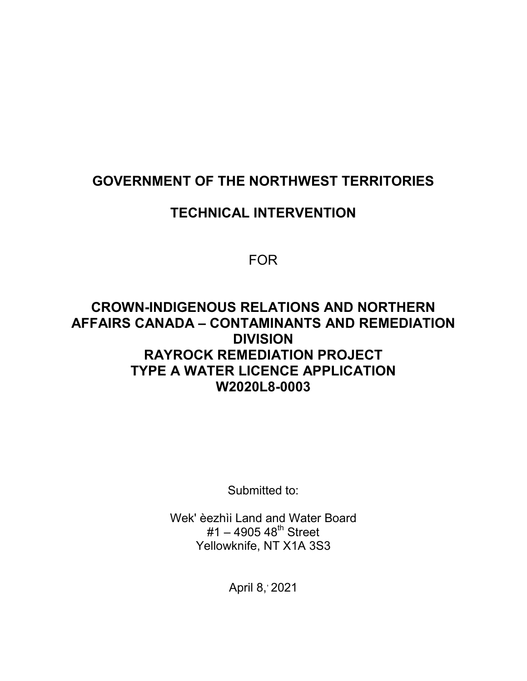#### **GOVERNMENT OF THE NORTHWEST TERRITORIES**

#### **TECHNICAL INTERVENTION**

FOR

#### **CROWN-INDIGENOUS RELATIONS AND NORTHERN AFFAIRS CANADA – CONTAMINANTS AND REMEDIATION DIVISION RAYROCK REMEDIATION PROJECT TYPE A WATER LICENCE APPLICATION W2020L8-0003**

Submitted to:

Wek' èezhìi Land and Water Board  $#1 - 4905 48$ <sup>th</sup> Street Yellowknife, NT X1A 3S3

April 8, 2021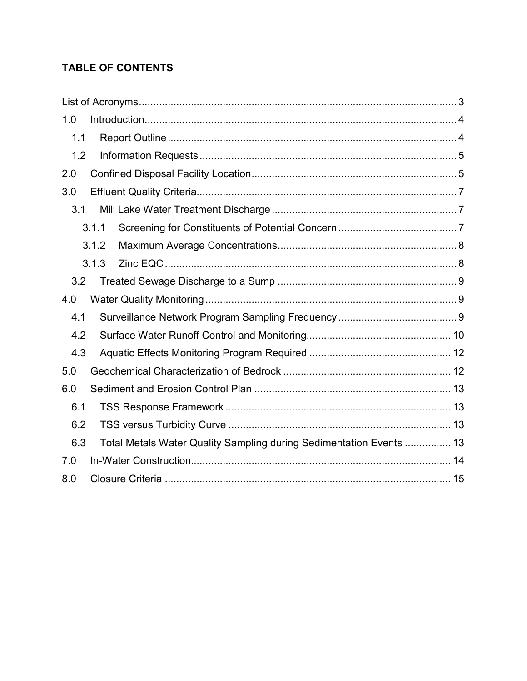#### **TABLE OF CONTENTS**

| 1.0 |                                                                     |  |  |
|-----|---------------------------------------------------------------------|--|--|
| 1.1 |                                                                     |  |  |
| 1.2 |                                                                     |  |  |
| 2.0 |                                                                     |  |  |
| 3.0 |                                                                     |  |  |
| 3.1 |                                                                     |  |  |
|     | 3.1.1                                                               |  |  |
|     | 3.1.2                                                               |  |  |
|     | 3.1.3                                                               |  |  |
| 3.2 |                                                                     |  |  |
| 4.0 |                                                                     |  |  |
| 4.1 |                                                                     |  |  |
| 4.2 |                                                                     |  |  |
| 4.3 |                                                                     |  |  |
| 5.0 |                                                                     |  |  |
| 6.0 |                                                                     |  |  |
| 6.1 |                                                                     |  |  |
| 6.2 |                                                                     |  |  |
| 6.3 | Total Metals Water Quality Sampling during Sedimentation Events  13 |  |  |
| 7.0 |                                                                     |  |  |
| 8.0 |                                                                     |  |  |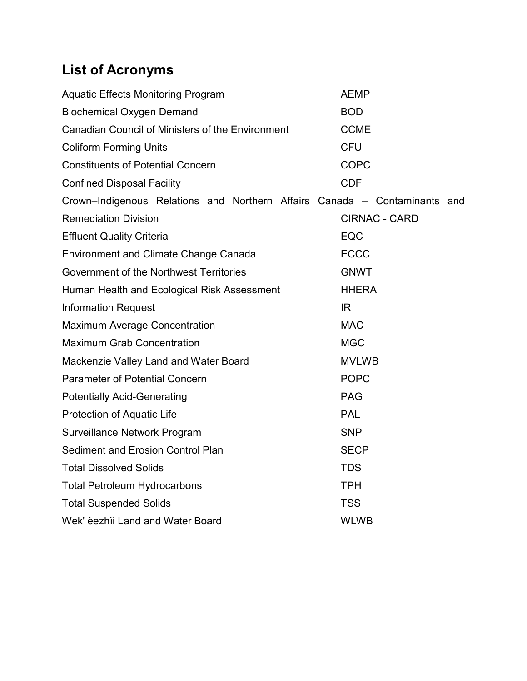# <span id="page-2-0"></span>**List of Acronyms**

| <b>Aquatic Effects Monitoring Program</b>                                 | <b>AEMP</b>          |
|---------------------------------------------------------------------------|----------------------|
| <b>Biochemical Oxygen Demand</b>                                          | <b>BOD</b>           |
| Canadian Council of Ministers of the Environment                          | <b>CCME</b>          |
| <b>Coliform Forming Units</b>                                             | <b>CFU</b>           |
| <b>Constituents of Potential Concern</b>                                  | <b>COPC</b>          |
| <b>Confined Disposal Facility</b>                                         | <b>CDF</b>           |
| Crown-Indigenous Relations and Northern Affairs Canada - Contaminants and |                      |
| <b>Remediation Division</b>                                               | <b>CIRNAC - CARD</b> |
| <b>Effluent Quality Criteria</b>                                          | EQC                  |
| <b>Environment and Climate Change Canada</b>                              | <b>ECCC</b>          |
| Government of the Northwest Territories                                   | <b>GNWT</b>          |
| Human Health and Ecological Risk Assessment                               | <b>HHERA</b>         |
| <b>Information Request</b>                                                | IR.                  |
| <b>Maximum Average Concentration</b>                                      | <b>MAC</b>           |
| <b>Maximum Grab Concentration</b>                                         | <b>MGC</b>           |
| Mackenzie Valley Land and Water Board                                     | <b>MVLWB</b>         |
| <b>Parameter of Potential Concern</b>                                     | <b>POPC</b>          |
| <b>Potentially Acid-Generating</b>                                        | <b>PAG</b>           |
| <b>Protection of Aquatic Life</b>                                         | <b>PAL</b>           |
| Surveillance Network Program                                              | <b>SNP</b>           |
| Sediment and Erosion Control Plan                                         | <b>SECP</b>          |
| <b>Total Dissolved Solids</b>                                             | <b>TDS</b>           |
| <b>Total Petroleum Hydrocarbons</b>                                       | <b>TPH</b>           |
| <b>Total Suspended Solids</b>                                             | <b>TSS</b>           |
| Wek' èezhìi Land and Water Board                                          | <b>WLWB</b>          |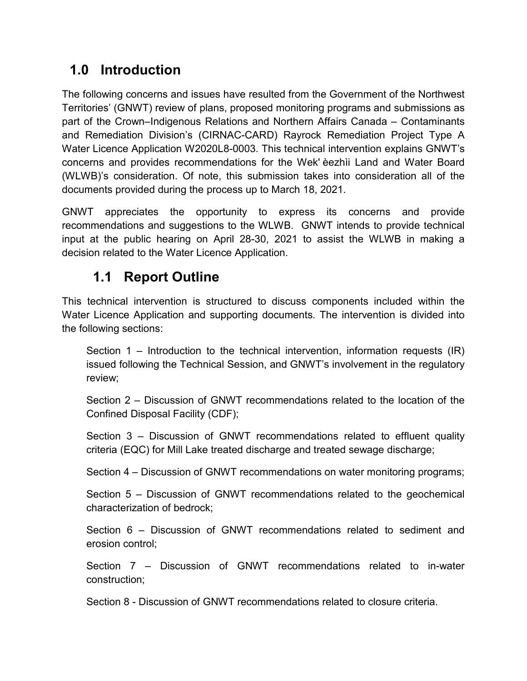### <span id="page-3-0"></span>**1.0 Introduction**

The following concerns and issues have resulted from the Government of the Northwest Territories' (GNWT) review of plans, proposed monitoring programs and submissions as part of the Crown–Indigenous Relations and Northern Affairs Canada – Contaminants and Remediation Division's (CIRNAC-CARD) Rayrock Remediation Project Type A Water Licence Application W2020L8-0003. This technical intervention explains GNWT's concerns and provides recommendations for the Wek' èezhìi Land and Water Board (WLWB)'s consideration. Of note, this submission takes into consideration all of the documents provided during the process up to March 18, 2021.

GNWT appreciates the opportunity to express its concerns and provide recommendations and suggestions to the WLWB. GNWT intends to provide technical input at the public hearing on April 28-30, 2021 to assist the WLWB in making a decision related to the Water Licence Application.

### **1.1 Report Outline**

<span id="page-3-1"></span>This technical intervention is structured to discuss components included within the Water Licence Application and supporting documents. The intervention is divided into the following sections:

Section 1 – Introduction to the technical intervention, information requests (IR) issued following the Technical Session, and GNWT's involvement in the regulatory review;

Section 2 – Discussion of GNWT recommendations related to the location of the Confined Disposal Facility (CDF);

Section 3 – Discussion of GNWT recommendations related to effluent quality criteria (EQC) for Mill Lake treated discharge and treated sewage discharge;

Section 4 – Discussion of GNWT recommendations on water monitoring programs;

Section 5 – Discussion of GNWT recommendations related to the geochemical characterization of bedrock;

Section 6 – Discussion of GNWT recommendations related to sediment and erosion control;

Section 7 – Discussion of GNWT recommendations related to in-water construction;

Section 8 - Discussion of GNWT recommendations related to closure criteria.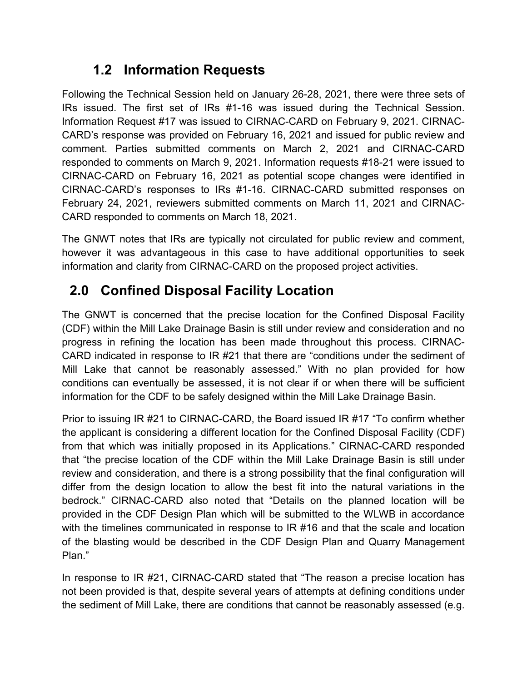### **1.2 Information Requests**

<span id="page-4-0"></span>Following the Technical Session held on January 26-28, 2021, there were three sets of IRs issued. The first set of IRs #1-16 was issued during the Technical Session. Information Request #17 was issued to CIRNAC-CARD on February 9, 2021. CIRNAC-CARD's response was provided on February 16, 2021 and issued for public review and comment. Parties submitted comments on March 2, 2021 and CIRNAC-CARD responded to comments on March 9, 2021. Information requests #18-21 were issued to CIRNAC-CARD on February 16, 2021 as potential scope changes were identified in CIRNAC-CARD's responses to IRs #1-16. CIRNAC-CARD submitted responses on February 24, 2021, reviewers submitted comments on March 11, 2021 and CIRNAC-CARD responded to comments on March 18, 2021.

The GNWT notes that IRs are typically not circulated for public review and comment, however it was advantageous in this case to have additional opportunities to seek information and clarity from CIRNAC-CARD on the proposed project activities.

# <span id="page-4-1"></span>**2.0 Confined Disposal Facility Location**

The GNWT is concerned that the precise location for the Confined Disposal Facility (CDF) within the Mill Lake Drainage Basin is still under review and consideration and no progress in refining the location has been made throughout this process. CIRNAC-CARD indicated in response to IR #21 that there are "conditions under the sediment of Mill Lake that cannot be reasonably assessed." With no plan provided for how conditions can eventually be assessed, it is not clear if or when there will be sufficient information for the CDF to be safely designed within the Mill Lake Drainage Basin.

Prior to issuing IR #21 to CIRNAC-CARD, the Board issued IR #17 "To confirm whether the applicant is considering a different location for the Confined Disposal Facility (CDF) from that which was initially proposed in its Applications." CIRNAC-CARD responded that "the precise location of the CDF within the Mill Lake Drainage Basin is still under review and consideration, and there is a strong possibility that the final configuration will differ from the design location to allow the best fit into the natural variations in the bedrock." CIRNAC-CARD also noted that "Details on the planned location will be provided in the CDF Design Plan which will be submitted to the WLWB in accordance with the timelines communicated in response to IR #16 and that the scale and location of the blasting would be described in the CDF Design Plan and Quarry Management Plan."

In response to IR #21, CIRNAC-CARD stated that "The reason a precise location has not been provided is that, despite several years of attempts at defining conditions under the sediment of Mill Lake, there are conditions that cannot be reasonably assessed (e.g.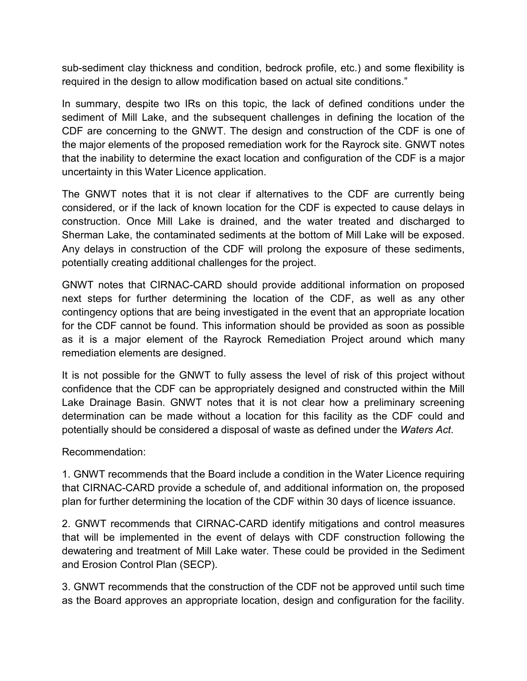sub-sediment clay thickness and condition, bedrock profile, etc.) and some flexibility is required in the design to allow modification based on actual site conditions."

In summary, despite two IRs on this topic, the lack of defined conditions under the sediment of Mill Lake, and the subsequent challenges in defining the location of the CDF are concerning to the GNWT. The design and construction of the CDF is one of the major elements of the proposed remediation work for the Rayrock site. GNWT notes that the inability to determine the exact location and configuration of the CDF is a major uncertainty in this Water Licence application.

The GNWT notes that it is not clear if alternatives to the CDF are currently being considered, or if the lack of known location for the CDF is expected to cause delays in construction. Once Mill Lake is drained, and the water treated and discharged to Sherman Lake, the contaminated sediments at the bottom of Mill Lake will be exposed. Any delays in construction of the CDF will prolong the exposure of these sediments, potentially creating additional challenges for the project.

GNWT notes that CIRNAC-CARD should provide additional information on proposed next steps for further determining the location of the CDF, as well as any other contingency options that are being investigated in the event that an appropriate location for the CDF cannot be found. This information should be provided as soon as possible as it is a major element of the Rayrock Remediation Project around which many remediation elements are designed.

It is not possible for the GNWT to fully assess the level of risk of this project without confidence that the CDF can be appropriately designed and constructed within the Mill Lake Drainage Basin. GNWT notes that it is not clear how a preliminary screening determination can be made without a location for this facility as the CDF could and potentially should be considered a disposal of waste as defined under the *Waters Act*.

Recommendation:

1. GNWT recommends that the Board include a condition in the Water Licence requiring that CIRNAC-CARD provide a schedule of, and additional information on, the proposed plan for further determining the location of the CDF within 30 days of licence issuance.

2. GNWT recommends that CIRNAC-CARD identify mitigations and control measures that will be implemented in the event of delays with CDF construction following the dewatering and treatment of Mill Lake water. These could be provided in the Sediment and Erosion Control Plan (SECP).

3. GNWT recommends that the construction of the CDF not be approved until such time as the Board approves an appropriate location, design and configuration for the facility.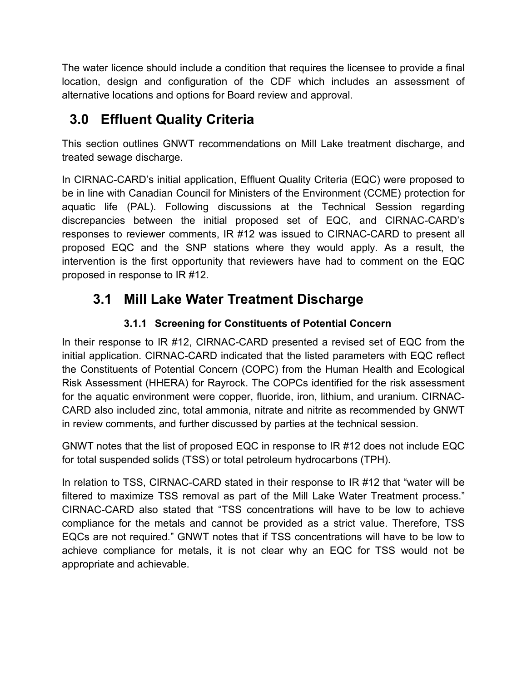The water licence should include a condition that requires the licensee to provide a final location, design and configuration of the CDF which includes an assessment of alternative locations and options for Board review and approval.

# <span id="page-6-0"></span>**3.0 Effluent Quality Criteria**

This section outlines GNWT recommendations on Mill Lake treatment discharge, and treated sewage discharge.

In CIRNAC-CARD's initial application, Effluent Quality Criteria (EQC) were proposed to be in line with Canadian Council for Ministers of the Environment (CCME) protection for aquatic life (PAL). Following discussions at the Technical Session regarding discrepancies between the initial proposed set of EQC, and CIRNAC-CARD's responses to reviewer comments, IR #12 was issued to CIRNAC-CARD to present all proposed EQC and the SNP stations where they would apply. As a result, the intervention is the first opportunity that reviewers have had to comment on the EQC proposed in response to IR #12.

### <span id="page-6-1"></span>**3.1 Mill Lake Water Treatment Discharge**

#### **3.1.1 Screening for Constituents of Potential Concern**

<span id="page-6-2"></span>In their response to IR #12, CIRNAC-CARD presented a revised set of EQC from the initial application. CIRNAC-CARD indicated that the listed parameters with EQC reflect the Constituents of Potential Concern (COPC) from the Human Health and Ecological Risk Assessment (HHERA) for Rayrock. The COPCs identified for the risk assessment for the aquatic environment were copper, fluoride, iron, lithium, and uranium. CIRNAC-CARD also included zinc, total ammonia, nitrate and nitrite as recommended by GNWT in review comments, and further discussed by parties at the technical session.

GNWT notes that the list of proposed EQC in response to IR #12 does not include EQC for total suspended solids (TSS) or total petroleum hydrocarbons (TPH).

In relation to TSS, CIRNAC-CARD stated in their response to IR #12 that "water will be filtered to maximize TSS removal as part of the Mill Lake Water Treatment process." CIRNAC-CARD also stated that "TSS concentrations will have to be low to achieve compliance for the metals and cannot be provided as a strict value. Therefore, TSS EQCs are not required." GNWT notes that if TSS concentrations will have to be low to achieve compliance for metals, it is not clear why an EQC for TSS would not be appropriate and achievable.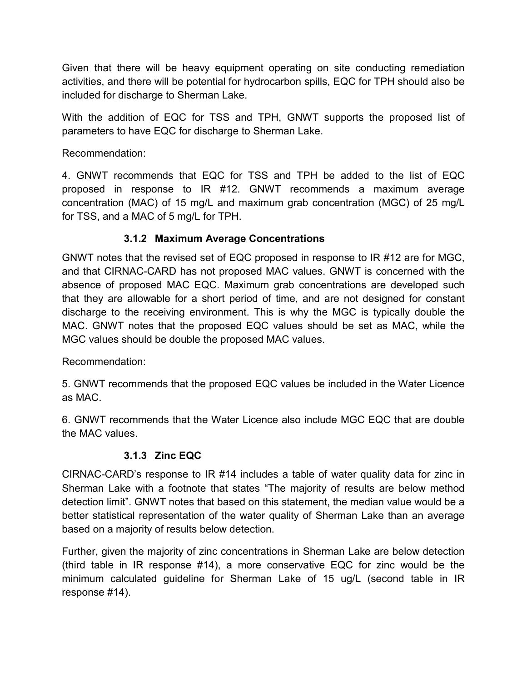Given that there will be heavy equipment operating on site conducting remediation activities, and there will be potential for hydrocarbon spills, EQC for TPH should also be included for discharge to Sherman Lake.

With the addition of EQC for TSS and TPH, GNWT supports the proposed list of parameters to have EQC for discharge to Sherman Lake.

Recommendation:

4. GNWT recommends that EQC for TSS and TPH be added to the list of EQC proposed in response to IR #12. GNWT recommends a maximum average concentration (MAC) of 15 mg/L and maximum grab concentration (MGC) of 25 mg/L for TSS, and a MAC of 5 mg/L for TPH.

#### **3.1.2 Maximum Average Concentrations**

<span id="page-7-0"></span>GNWT notes that the revised set of EQC proposed in response to IR #12 are for MGC, and that CIRNAC-CARD has not proposed MAC values. GNWT is concerned with the absence of proposed MAC EQC. Maximum grab concentrations are developed such that they are allowable for a short period of time, and are not designed for constant discharge to the receiving environment. This is why the MGC is typically double the MAC. GNWT notes that the proposed EQC values should be set as MAC, while the MGC values should be double the proposed MAC values.

Recommendation:

5. GNWT recommends that the proposed EQC values be included in the Water Licence as MAC.

6. GNWT recommends that the Water Licence also include MGC EQC that are double the MAC values.

#### **3.1.3 Zinc EQC**

<span id="page-7-1"></span>CIRNAC-CARD's response to IR #14 includes a table of water quality data for zinc in Sherman Lake with a footnote that states "The majority of results are below method detection limit". GNWT notes that based on this statement, the median value would be a better statistical representation of the water quality of Sherman Lake than an average based on a majority of results below detection.

Further, given the majority of zinc concentrations in Sherman Lake are below detection (third table in IR response #14), a more conservative EQC for zinc would be the minimum calculated guideline for Sherman Lake of 15 ug/L (second table in IR response #14).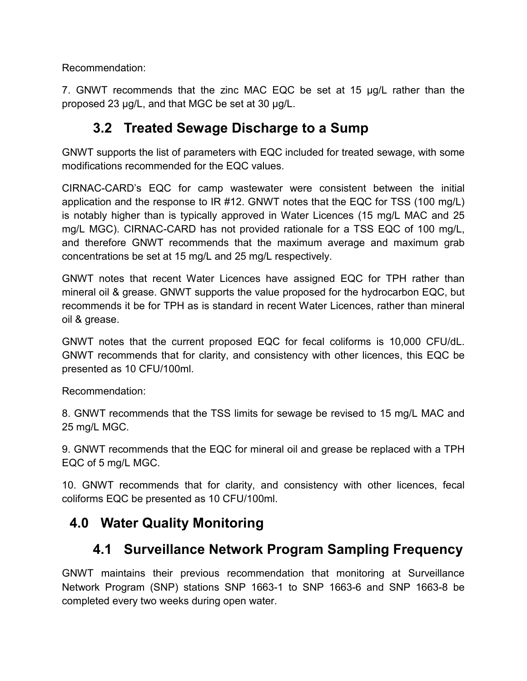Recommendation:

7. GNWT recommends that the zinc MAC EQC be set at 15 µg/L rather than the proposed 23 µg/L, and that MGC be set at 30 µg/L.

### **3.2 Treated Sewage Discharge to a Sump**

<span id="page-8-0"></span>GNWT supports the list of parameters with EQC included for treated sewage, with some modifications recommended for the EQC values.

CIRNAC-CARD's EQC for camp wastewater were consistent between the initial application and the response to IR #12. GNWT notes that the EQC for TSS (100 mg/L) is notably higher than is typically approved in Water Licences (15 mg/L MAC and 25 mg/L MGC). CIRNAC-CARD has not provided rationale for a TSS EQC of 100 mg/L, and therefore GNWT recommends that the maximum average and maximum grab concentrations be set at 15 mg/L and 25 mg/L respectively.

GNWT notes that recent Water Licences have assigned EQC for TPH rather than mineral oil & grease. GNWT supports the value proposed for the hydrocarbon EQC, but recommends it be for TPH as is standard in recent Water Licences, rather than mineral oil & grease.

GNWT notes that the current proposed EQC for fecal coliforms is 10,000 CFU/dL. GNWT recommends that for clarity, and consistency with other licences, this EQC be presented as 10 CFU/100ml.

Recommendation:

8. GNWT recommends that the TSS limits for sewage be revised to 15 mg/L MAC and 25 mg/L MGC.

9. GNWT recommends that the EQC for mineral oil and grease be replaced with a TPH EQC of 5 mg/L MGC.

10. GNWT recommends that for clarity, and consistency with other licences, fecal coliforms EQC be presented as 10 CFU/100ml.

#### <span id="page-8-1"></span>**4.0 Water Quality Monitoring**

# **4.1 Surveillance Network Program Sampling Frequency**

<span id="page-8-2"></span>GNWT maintains their previous recommendation that monitoring at Surveillance Network Program (SNP) stations SNP 1663-1 to SNP 1663-6 and SNP 1663-8 be completed every two weeks during open water.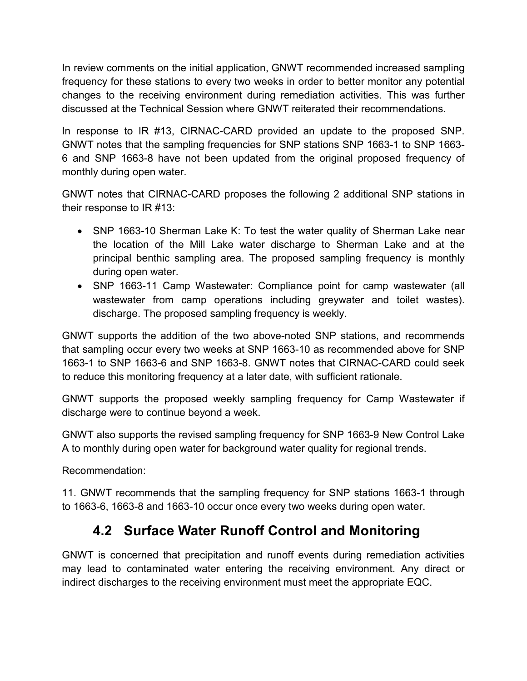In review comments on the initial application, GNWT recommended increased sampling frequency for these stations to every two weeks in order to better monitor any potential changes to the receiving environment during remediation activities. This was further discussed at the Technical Session where GNWT reiterated their recommendations.

In response to IR #13, CIRNAC-CARD provided an update to the proposed SNP. GNWT notes that the sampling frequencies for SNP stations SNP 1663-1 to SNP 1663- 6 and SNP 1663-8 have not been updated from the original proposed frequency of monthly during open water.

GNWT notes that CIRNAC-CARD proposes the following 2 additional SNP stations in their response to IR #13:

- SNP 1663-10 Sherman Lake K: To test the water quality of Sherman Lake near the location of the Mill Lake water discharge to Sherman Lake and at the principal benthic sampling area. The proposed sampling frequency is monthly during open water.
- SNP 1663-11 Camp Wastewater: Compliance point for camp wastewater (all wastewater from camp operations including greywater and toilet wastes). discharge. The proposed sampling frequency is weekly.

GNWT supports the addition of the two above-noted SNP stations, and recommends that sampling occur every two weeks at SNP 1663-10 as recommended above for SNP 1663-1 to SNP 1663-6 and SNP 1663-8. GNWT notes that CIRNAC-CARD could seek to reduce this monitoring frequency at a later date, with sufficient rationale.

GNWT supports the proposed weekly sampling frequency for Camp Wastewater if discharge were to continue beyond a week.

GNWT also supports the revised sampling frequency for SNP 1663-9 New Control Lake A to monthly during open water for background water quality for regional trends.

Recommendation:

11. GNWT recommends that the sampling frequency for SNP stations 1663-1 through to 1663-6, 1663-8 and 1663-10 occur once every two weeks during open water.

#### **4.2 Surface Water Runoff Control and Monitoring**

<span id="page-9-0"></span>GNWT is concerned that precipitation and runoff events during remediation activities may lead to contaminated water entering the receiving environment. Any direct or indirect discharges to the receiving environment must meet the appropriate EQC.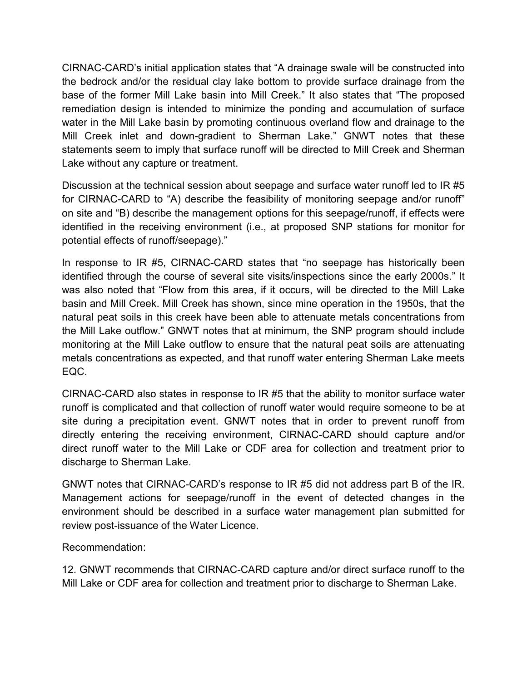CIRNAC-CARD's initial application states that "A drainage swale will be constructed into the bedrock and/or the residual clay lake bottom to provide surface drainage from the base of the former Mill Lake basin into Mill Creek." It also states that "The proposed remediation design is intended to minimize the ponding and accumulation of surface water in the Mill Lake basin by promoting continuous overland flow and drainage to the Mill Creek inlet and down-gradient to Sherman Lake." GNWT notes that these statements seem to imply that surface runoff will be directed to Mill Creek and Sherman Lake without any capture or treatment.

Discussion at the technical session about seepage and surface water runoff led to IR #5 for CIRNAC-CARD to "A) describe the feasibility of monitoring seepage and/or runoff" on site and "B) describe the management options for this seepage/runoff, if effects were identified in the receiving environment (i.e., at proposed SNP stations for monitor for potential effects of runoff/seepage)."

In response to IR #5, CIRNAC-CARD states that "no seepage has historically been identified through the course of several site visits/inspections since the early 2000s." It was also noted that "Flow from this area, if it occurs, will be directed to the Mill Lake basin and Mill Creek. Mill Creek has shown, since mine operation in the 1950s, that the natural peat soils in this creek have been able to attenuate metals concentrations from the Mill Lake outflow." GNWT notes that at minimum, the SNP program should include monitoring at the Mill Lake outflow to ensure that the natural peat soils are attenuating metals concentrations as expected, and that runoff water entering Sherman Lake meets EQC.

CIRNAC-CARD also states in response to IR #5 that the ability to monitor surface water runoff is complicated and that collection of runoff water would require someone to be at site during a precipitation event. GNWT notes that in order to prevent runoff from directly entering the receiving environment, CIRNAC-CARD should capture and/or direct runoff water to the Mill Lake or CDF area for collection and treatment prior to discharge to Sherman Lake.

GNWT notes that CIRNAC-CARD's response to IR #5 did not address part B of the IR. Management actions for seepage/runoff in the event of detected changes in the environment should be described in a surface water management plan submitted for review post-issuance of the Water Licence.

#### Recommendation:

12. GNWT recommends that CIRNAC-CARD capture and/or direct surface runoff to the Mill Lake or CDF area for collection and treatment prior to discharge to Sherman Lake.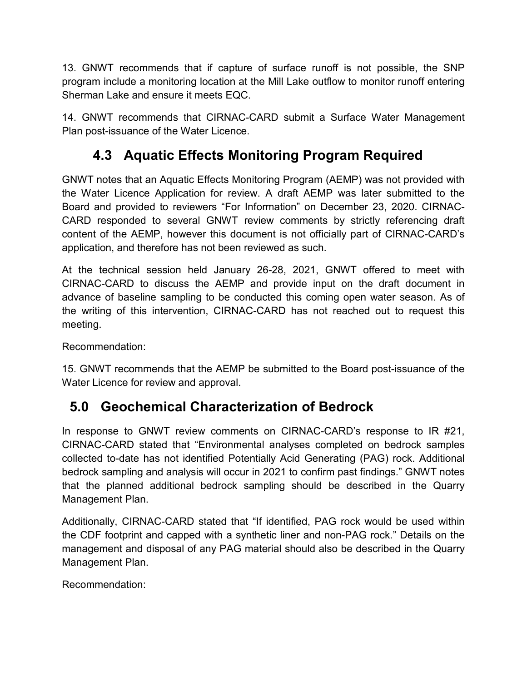13. GNWT recommends that if capture of surface runoff is not possible, the SNP program include a monitoring location at the Mill Lake outflow to monitor runoff entering Sherman Lake and ensure it meets EQC.

14. GNWT recommends that CIRNAC-CARD submit a Surface Water Management Plan post-issuance of the Water Licence.

# **4.3 Aquatic Effects Monitoring Program Required**

<span id="page-11-0"></span>GNWT notes that an Aquatic Effects Monitoring Program (AEMP) was not provided with the Water Licence Application for review. A draft AEMP was later submitted to the Board and provided to reviewers "For Information" on December 23, 2020. CIRNAC-CARD responded to several GNWT review comments by strictly referencing draft content of the AEMP, however this document is not officially part of CIRNAC-CARD's application, and therefore has not been reviewed as such.

At the technical session held January 26-28, 2021, GNWT offered to meet with CIRNAC-CARD to discuss the AEMP and provide input on the draft document in advance of baseline sampling to be conducted this coming open water season. As of the writing of this intervention, CIRNAC-CARD has not reached out to request this meeting.

Recommendation:

15. GNWT recommends that the AEMP be submitted to the Board post-issuance of the Water Licence for review and approval.

#### <span id="page-11-1"></span>**5.0 Geochemical Characterization of Bedrock**

In response to GNWT review comments on CIRNAC-CARD's response to IR #21, CIRNAC-CARD stated that "Environmental analyses completed on bedrock samples collected to-date has not identified Potentially Acid Generating (PAG) rock. Additional bedrock sampling and analysis will occur in 2021 to confirm past findings." GNWT notes that the planned additional bedrock sampling should be described in the Quarry Management Plan.

Additionally, CIRNAC-CARD stated that "If identified, PAG rock would be used within the CDF footprint and capped with a synthetic liner and non-PAG rock." Details on the management and disposal of any PAG material should also be described in the Quarry Management Plan.

Recommendation: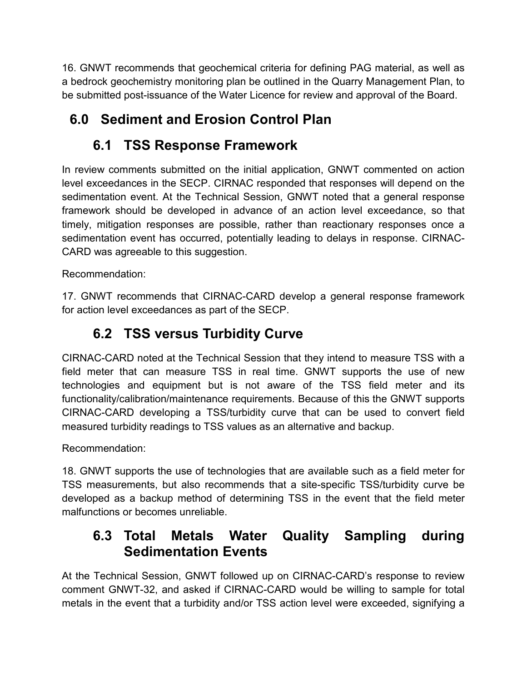16. GNWT recommends that geochemical criteria for defining PAG material, as well as a bedrock geochemistry monitoring plan be outlined in the Quarry Management Plan, to be submitted post-issuance of the Water Licence for review and approval of the Board.

# <span id="page-12-0"></span>**6.0 Sediment and Erosion Control Plan**

# **6.1 TSS Response Framework**

<span id="page-12-1"></span>In review comments submitted on the initial application, GNWT commented on action level exceedances in the SECP. CIRNAC responded that responses will depend on the sedimentation event. At the Technical Session, GNWT noted that a general response framework should be developed in advance of an action level exceedance, so that timely, mitigation responses are possible, rather than reactionary responses once a sedimentation event has occurred, potentially leading to delays in response. CIRNAC-CARD was agreeable to this suggestion.

Recommendation:

17. GNWT recommends that CIRNAC-CARD develop a general response framework for action level exceedances as part of the SECP.

### **6.2 TSS versus Turbidity Curve**

<span id="page-12-2"></span>CIRNAC-CARD noted at the Technical Session that they intend to measure TSS with a field meter that can measure TSS in real time. GNWT supports the use of new technologies and equipment but is not aware of the TSS field meter and its functionality/calibration/maintenance requirements. Because of this the GNWT supports CIRNAC-CARD developing a TSS/turbidity curve that can be used to convert field measured turbidity readings to TSS values as an alternative and backup.

Recommendation:

18. GNWT supports the use of technologies that are available such as a field meter for TSS measurements, but also recommends that a site-specific TSS/turbidity curve be developed as a backup method of determining TSS in the event that the field meter malfunctions or becomes unreliable.

#### <span id="page-12-3"></span>**6.3 Total Metals Water Quality Sampling during Sedimentation Events**

At the Technical Session, GNWT followed up on CIRNAC-CARD's response to review comment GNWT-32, and asked if CIRNAC-CARD would be willing to sample for total metals in the event that a turbidity and/or TSS action level were exceeded, signifying a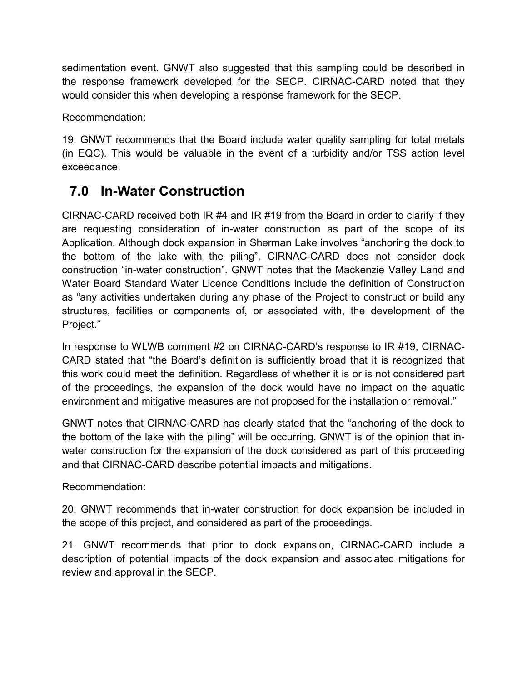sedimentation event. GNWT also suggested that this sampling could be described in the response framework developed for the SECP. CIRNAC-CARD noted that they would consider this when developing a response framework for the SECP.

Recommendation:

19. GNWT recommends that the Board include water quality sampling for total metals (in EQC). This would be valuable in the event of a turbidity and/or TSS action level exceedance.

#### <span id="page-13-0"></span>**7.0 In-Water Construction**

CIRNAC-CARD received both IR #4 and IR #19 from the Board in order to clarify if they are requesting consideration of in-water construction as part of the scope of its Application. Although dock expansion in Sherman Lake involves "anchoring the dock to the bottom of the lake with the piling", CIRNAC-CARD does not consider dock construction "in-water construction". GNWT notes that the Mackenzie Valley Land and Water Board Standard Water Licence Conditions include the definition of Construction as "any activities undertaken during any phase of the Project to construct or build any structures, facilities or components of, or associated with, the development of the Project."

In response to WLWB comment #2 on CIRNAC-CARD's response to IR #19, CIRNAC-CARD stated that "the Board's definition is sufficiently broad that it is recognized that this work could meet the definition. Regardless of whether it is or is not considered part of the proceedings, the expansion of the dock would have no impact on the aquatic environment and mitigative measures are not proposed for the installation or removal."

GNWT notes that CIRNAC-CARD has clearly stated that the "anchoring of the dock to the bottom of the lake with the piling" will be occurring. GNWT is of the opinion that inwater construction for the expansion of the dock considered as part of this proceeding and that CIRNAC-CARD describe potential impacts and mitigations.

Recommendation:

20. GNWT recommends that in-water construction for dock expansion be included in the scope of this project, and considered as part of the proceedings.

21. GNWT recommends that prior to dock expansion, CIRNAC-CARD include a description of potential impacts of the dock expansion and associated mitigations for review and approval in the SECP.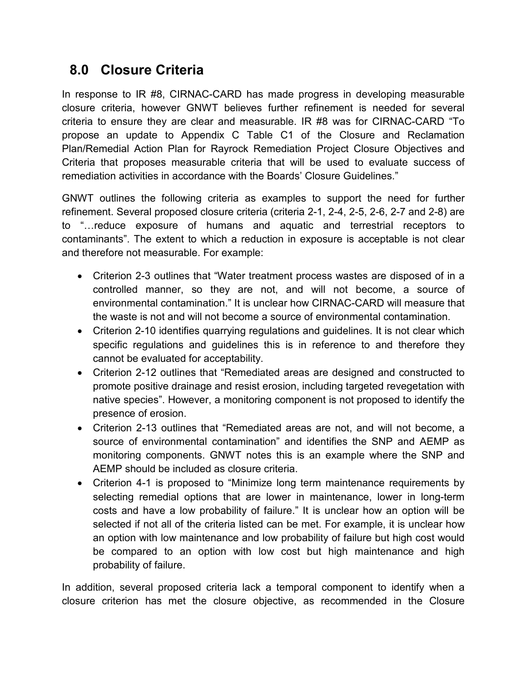#### <span id="page-14-0"></span>**8.0 Closure Criteria**

In response to IR #8, CIRNAC-CARD has made progress in developing measurable closure criteria, however GNWT believes further refinement is needed for several criteria to ensure they are clear and measurable. IR #8 was for CIRNAC-CARD "To propose an update to Appendix C Table C1 of the Closure and Reclamation Plan/Remedial Action Plan for Rayrock Remediation Project Closure Objectives and Criteria that proposes measurable criteria that will be used to evaluate success of remediation activities in accordance with the Boards' Closure Guidelines."

GNWT outlines the following criteria as examples to support the need for further refinement. Several proposed closure criteria (criteria 2-1, 2-4, 2-5, 2-6, 2-7 and 2-8) are to "…reduce exposure of humans and aquatic and terrestrial receptors to contaminants". The extent to which a reduction in exposure is acceptable is not clear and therefore not measurable. For example:

- Criterion 2-3 outlines that "Water treatment process wastes are disposed of in a controlled manner, so they are not, and will not become, a source of environmental contamination." It is unclear how CIRNAC-CARD will measure that the waste is not and will not become a source of environmental contamination.
- Criterion 2-10 identifies quarrying regulations and guidelines. It is not clear which specific regulations and guidelines this is in reference to and therefore they cannot be evaluated for acceptability.
- Criterion 2-12 outlines that "Remediated areas are designed and constructed to promote positive drainage and resist erosion, including targeted revegetation with native species". However, a monitoring component is not proposed to identify the presence of erosion.
- Criterion 2-13 outlines that "Remediated areas are not, and will not become, a source of environmental contamination" and identifies the SNP and AEMP as monitoring components. GNWT notes this is an example where the SNP and AEMP should be included as closure criteria.
- Criterion 4-1 is proposed to "Minimize long term maintenance requirements by selecting remedial options that are lower in maintenance, lower in long-term costs and have a low probability of failure." It is unclear how an option will be selected if not all of the criteria listed can be met. For example, it is unclear how an option with low maintenance and low probability of failure but high cost would be compared to an option with low cost but high maintenance and high probability of failure.

In addition, several proposed criteria lack a temporal component to identify when a closure criterion has met the closure objective, as recommended in the Closure